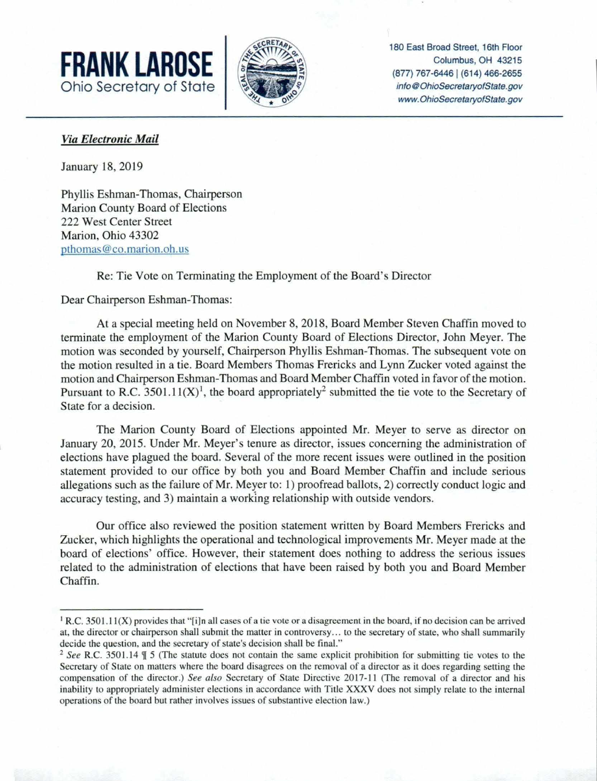



180 East Broad Street, 16th Floor [info@OhioSecretaryofState.gov](mailto:info@OhioSecretaryofState.gov) <www.OhioSecretaryofState.gov>

## *Via Electronic Mail*

January 18, 2019

Phyllis Eshman-Thomas, Chairperson Marion County Board of Elections 222 West Center Street Marion, Ohio 43302 [pthomas@co.marion.oh.us](mailto:pthomas@co.marion.oh.us) 

## Re: Tie Vote on Terminating the Employment of the Board's Director

Dear Chairperson Eshman-Thomas:

At a special meeting held on November 8, 2018, Board Member Steven Chaffin moved to terminate the employment of the Marion County Board of Elections Director, John Meyer. The motion was seconded by yourself, Chairperson Phyllis Eshman-Thomas. The ubsequent vote on the motion resulted in a tie. Board Members Thomas Frericks and Lynn Zucker voted against the motion and Chairperson Eshman-Thomas and Board Member Chaffin voted in favor of the motion. Pursuant to R.C. 3501.11(X)<sup>1</sup>, the board appropriately<sup>2</sup> submitted the tie vote to the Secretary of State for a decision.

The Marion County Board of Elections appointed Mr. Meyer to serve as director on January 20, 2015. Under Mr. Meyer's tenure as director, issues concerning the administration of elections have plagued the board. Several of the more recent issues were outlined in the position statement provided to our office by both you and Board Member Chaffin and include serious allegations such as the failure of Mr. Meyer to: 1) proofread ballots, 2) correctly conduct logic and accuracy testing, and 3) maintain a working relationship with outside vendors.

Our office also reviewed the position statement written by Board Members Frericks and Zucker, which highlights the operational and technological improvements Mr. Meyer made at the board of elections' office. However, their statement does nothing to address the serious issues related to the administration of elections that have been raised by both you and Board Member Chaffin.

<sup>&</sup>lt;sup>1</sup> R.C. 3501.11(X) provides that "[i]n all cases of a tie vote or a disagreement in the board, if no decision can be arrived at, the director or chairperson shall submit the matter in controversy... to the secretary ofstate, who shall summarily decide the question, and the secretary of state's decision shall be final."

<sup>&</sup>lt;sup>2</sup> See R.C. 3501.14  $\frac{1}{2}$  5 (The statute does not contain the same explicit prohibition for submitting tie votes to the Secretary of State on matters where the board disagrees on the removal of a director as it does regarding setting the compensation of the director.) *See also* Secretary of State Directive 2017-11 (The removal of a director and his inability to appropriately administer elections in accordance with Title XXXV does not simply relate to the internal operations of the board but rather involves issues of substantive election law.)